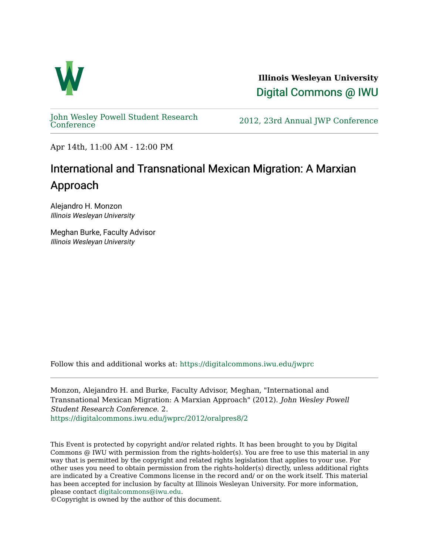

**Illinois Wesleyan University**  [Digital Commons @ IWU](https://digitalcommons.iwu.edu/) 

[John Wesley Powell Student Research](https://digitalcommons.iwu.edu/jwprc) 

2012, 23rd Annual JWP [Conference](https://digitalcommons.iwu.edu/jwprc)

Apr 14th, 11:00 AM - 12:00 PM

## International and Transnational Mexican Migration: A Marxian Approach

Alejandro H. Monzon Illinois Wesleyan University

Meghan Burke, Faculty Advisor Illinois Wesleyan University

Follow this and additional works at: [https://digitalcommons.iwu.edu/jwprc](https://digitalcommons.iwu.edu/jwprc?utm_source=digitalcommons.iwu.edu%2Fjwprc%2F2012%2Foralpres8%2F2&utm_medium=PDF&utm_campaign=PDFCoverPages) 

Monzon, Alejandro H. and Burke, Faculty Advisor, Meghan, "International and Transnational Mexican Migration: A Marxian Approach" (2012). John Wesley Powell Student Research Conference. 2. [https://digitalcommons.iwu.edu/jwprc/2012/oralpres8/2](https://digitalcommons.iwu.edu/jwprc/2012/oralpres8/2?utm_source=digitalcommons.iwu.edu%2Fjwprc%2F2012%2Foralpres8%2F2&utm_medium=PDF&utm_campaign=PDFCoverPages)

This Event is protected by copyright and/or related rights. It has been brought to you by Digital Commons @ IWU with permission from the rights-holder(s). You are free to use this material in any way that is permitted by the copyright and related rights legislation that applies to your use. For other uses you need to obtain permission from the rights-holder(s) directly, unless additional rights are indicated by a Creative Commons license in the record and/ or on the work itself. This material has been accepted for inclusion by faculty at Illinois Wesleyan University. For more information, please contact [digitalcommons@iwu.edu.](mailto:digitalcommons@iwu.edu)

©Copyright is owned by the author of this document.